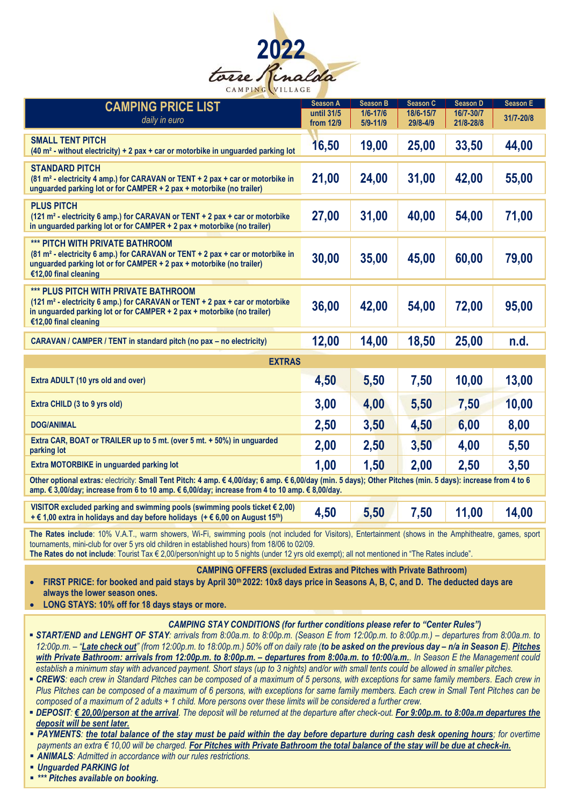

| <b>CAMPING PRICE LIST</b><br>daily in euro                                                                                                                                                                                                                                                                                                                                                                                                                                                                                                                                                                                                                                                                                                                                                                                                                                                                                                                                                                                                                                                                                                                                                                                                                                                                                                                                                                                                                                                                                                               | <b>Season A</b><br>until 31/5<br>from 12/9 | <b>Season B</b><br>$1/6 - 17/6$<br>5/9-11/9 | <b>Season C</b><br>18/6-15/7<br>29/8-4/9 | Season D<br>16/7-30/7<br>21/8-28/8 | <b>Season E</b><br>31/7-20/8 |  |
|----------------------------------------------------------------------------------------------------------------------------------------------------------------------------------------------------------------------------------------------------------------------------------------------------------------------------------------------------------------------------------------------------------------------------------------------------------------------------------------------------------------------------------------------------------------------------------------------------------------------------------------------------------------------------------------------------------------------------------------------------------------------------------------------------------------------------------------------------------------------------------------------------------------------------------------------------------------------------------------------------------------------------------------------------------------------------------------------------------------------------------------------------------------------------------------------------------------------------------------------------------------------------------------------------------------------------------------------------------------------------------------------------------------------------------------------------------------------------------------------------------------------------------------------------------|--------------------------------------------|---------------------------------------------|------------------------------------------|------------------------------------|------------------------------|--|
| <b>SMALL TENT PITCH</b><br>(40 m <sup>2</sup> - without electricity) + 2 pax + car or motorbike in unguarded parking lot                                                                                                                                                                                                                                                                                                                                                                                                                                                                                                                                                                                                                                                                                                                                                                                                                                                                                                                                                                                                                                                                                                                                                                                                                                                                                                                                                                                                                                 | 16,50                                      | 19,00                                       | 25,00                                    | 33,50                              | 44,00                        |  |
| <b>STANDARD PITCH</b><br>(81 m <sup>2</sup> - electricity 4 amp.) for CARAVAN or TENT + 2 pax + car or motorbike in<br>unguarded parking lot or for CAMPER + 2 pax + motorbike (no trailer)                                                                                                                                                                                                                                                                                                                                                                                                                                                                                                                                                                                                                                                                                                                                                                                                                                                                                                                                                                                                                                                                                                                                                                                                                                                                                                                                                              | 21,00                                      | 24,00                                       | 31,00                                    | 42,00                              | 55,00                        |  |
| <b>PLUS PITCH</b><br>(121 m <sup>2</sup> - electricity 6 amp.) for CARAVAN or TENT + 2 pax + car or motorbike<br>in unguarded parking lot or for CAMPER + 2 pax + motorbike (no trailer)                                                                                                                                                                                                                                                                                                                                                                                                                                                                                                                                                                                                                                                                                                                                                                                                                                                                                                                                                                                                                                                                                                                                                                                                                                                                                                                                                                 | 27,00                                      | 31,00                                       | 40,00                                    | 54,00                              | 71,00                        |  |
| *** PITCH WITH PRIVATE BATHROOM<br>(81 m <sup>2</sup> - electricity 6 amp.) for CARAVAN or TENT + 2 pax + car or motorbike in<br>unguarded parking lot or for CAMPER + 2 pax + motorbike (no trailer)<br>€12,00 final cleaning                                                                                                                                                                                                                                                                                                                                                                                                                                                                                                                                                                                                                                                                                                                                                                                                                                                                                                                                                                                                                                                                                                                                                                                                                                                                                                                           | 30,00                                      | 35,00                                       | 45,00                                    | 60,00                              | 79,00                        |  |
| *** PLUS PITCH WITH PRIVATE BATHROOM<br>(121 m <sup>2</sup> - electricity 6 amp.) for CARAVAN or TENT + 2 pax + car or motorbike<br>in unguarded parking lot or for CAMPER + 2 pax + motorbike (no trailer)<br>€12,00 final cleaning                                                                                                                                                                                                                                                                                                                                                                                                                                                                                                                                                                                                                                                                                                                                                                                                                                                                                                                                                                                                                                                                                                                                                                                                                                                                                                                     | 36,00                                      | 42,00                                       | 54,00                                    | 72,00                              | 95,00                        |  |
| CARAVAN / CAMPER / TENT in standard pitch (no pax - no electricity)                                                                                                                                                                                                                                                                                                                                                                                                                                                                                                                                                                                                                                                                                                                                                                                                                                                                                                                                                                                                                                                                                                                                                                                                                                                                                                                                                                                                                                                                                      | 12,00                                      | 14,00                                       | 18,50                                    | 25,00                              | n.d.                         |  |
| <b>EXTRAS</b>                                                                                                                                                                                                                                                                                                                                                                                                                                                                                                                                                                                                                                                                                                                                                                                                                                                                                                                                                                                                                                                                                                                                                                                                                                                                                                                                                                                                                                                                                                                                            |                                            |                                             |                                          |                                    |                              |  |
| Extra ADULT (10 yrs old and over)                                                                                                                                                                                                                                                                                                                                                                                                                                                                                                                                                                                                                                                                                                                                                                                                                                                                                                                                                                                                                                                                                                                                                                                                                                                                                                                                                                                                                                                                                                                        | 4,50                                       | 5,50                                        | 7,50                                     | 10,00                              | 13,00                        |  |
| Extra CHILD (3 to 9 yrs old)                                                                                                                                                                                                                                                                                                                                                                                                                                                                                                                                                                                                                                                                                                                                                                                                                                                                                                                                                                                                                                                                                                                                                                                                                                                                                                                                                                                                                                                                                                                             | 3,00                                       | 4,00                                        | 5,50                                     | 7,50                               | 10,00                        |  |
| <b>DOG/ANIMAL</b>                                                                                                                                                                                                                                                                                                                                                                                                                                                                                                                                                                                                                                                                                                                                                                                                                                                                                                                                                                                                                                                                                                                                                                                                                                                                                                                                                                                                                                                                                                                                        | 2,50                                       | 3,50                                        | 4,50                                     | 6,00                               | 8,00                         |  |
| Extra CAR, BOAT or TRAILER up to 5 mt. (over 5 mt. + 50%) in unguarded<br>parking lot                                                                                                                                                                                                                                                                                                                                                                                                                                                                                                                                                                                                                                                                                                                                                                                                                                                                                                                                                                                                                                                                                                                                                                                                                                                                                                                                                                                                                                                                    | 2,00                                       | 2,50                                        | 3,50                                     | 4,00                               | 5,50                         |  |
| Extra MOTORBIKE in unguarded parking lot                                                                                                                                                                                                                                                                                                                                                                                                                                                                                                                                                                                                                                                                                                                                                                                                                                                                                                                                                                                                                                                                                                                                                                                                                                                                                                                                                                                                                                                                                                                 | 1,00                                       | 1,50                                        | 2,00                                     | 2,50                               | 3,50                         |  |
| Other optional extras: electricity: Small Tent Pitch: 4 amp. € 4,00/day; 6 amp. € 6,00/day (min. 5 days); Other Pitches (min. 5 days): increase from 4 to 6<br>amp. € 3,00/day; increase from 6 to 10 amp. € 6,00/day; increase from 4 to 10 amp. € 8,00/day.                                                                                                                                                                                                                                                                                                                                                                                                                                                                                                                                                                                                                                                                                                                                                                                                                                                                                                                                                                                                                                                                                                                                                                                                                                                                                            |                                            |                                             |                                          |                                    |                              |  |
| VISITOR excluded parking and swimming pools (swimming pools ticket $\epsilon$ 2,00)<br>+ € 1,00 extra in holidays and day before holidays (+ € 6,00 on August 15 <sup>th</sup> )                                                                                                                                                                                                                                                                                                                                                                                                                                                                                                                                                                                                                                                                                                                                                                                                                                                                                                                                                                                                                                                                                                                                                                                                                                                                                                                                                                         | 4,50                                       | 5,50                                        | 7,50                                     | 11,00                              | 14,00                        |  |
| The Rates include: 10% V.A.T., warm showers, Wi-Fi, swimming pools (not included for Visitors), Entertainment (shows in the Amphitheatre, games, sport<br>tournaments, mini-club for over 5 yrs old children in established hours) from 18/06 to 02/09.<br>The Rates do not include: Tourist Tax € 2,00/person/night up to 5 nights (under 12 yrs old exempt); all not mentioned in "The Rates include".                                                                                                                                                                                                                                                                                                                                                                                                                                                                                                                                                                                                                                                                                                                                                                                                                                                                                                                                                                                                                                                                                                                                                 |                                            |                                             |                                          |                                    |                              |  |
| <b>CAMPING OFFERS (excluded Extras and Pitches with Private Bathroom)</b><br>FIRST PRICE: for booked and paid stays by April 30th 2022: 10x8 days price in Seasons A, B, C, and D. The deducted days are<br>$\bullet$<br>always the lower season ones.<br>LONG STAYS: 10% off for 18 days stays or more.<br>$\bullet$                                                                                                                                                                                                                                                                                                                                                                                                                                                                                                                                                                                                                                                                                                                                                                                                                                                                                                                                                                                                                                                                                                                                                                                                                                    |                                            |                                             |                                          |                                    |                              |  |
| <b>CAMPING STAY CONDITIONS (for further conditions please refer to "Center Rules")</b><br>• START/END and LENGHT OF STAY: arrivals from 8:00a.m. to 8:00p.m. (Season E from 12:00p.m. to 8:00p.m.) – departures from 8:00a.m. to<br>12:00p.m. - "Late check out" (from 12:00p.m. to 18:00p.m.) 50% off on daily rate (to be asked on the previous day - n/a in Season E). Pitches<br>with Private Bathroom: arrivals from 12:00p.m. to 8:00p.m. - departures from 8:00a.m. to 10:00/a.m. In Season E the Management could<br>establish a minimum stay with advanced payment. Short stays (up to 3 nights) and/or with small tents could be allowed in smaller pitches.<br>• CREWS: each crew in Standard Pitches can be composed of a maximum of 5 persons, with exceptions for same family members. Each crew in<br>Plus Pitches can be composed of a maximum of 6 persons, with exceptions for same family members. Each crew in Small Tent Pitches can be<br>composed of a maximum of $2$ adults $+1$ child. More persons over these limits will be considered a further crew.<br>■ DEPOSIT: € 20,00/person at the arrival. The deposit will be returned at the departure after check-out. For 9:00p.m. to 8:00a.m departures the<br>deposit will be sent later.<br><b>- PAYMENTS:</b> the total balance of the stay must be paid within the day before departure during cash desk opening hours; for overtime<br>payments an extra € 10,00 will be charged. For Pitches with Private Bathroom the total balance of the stay will be due at check-in. |                                            |                                             |                                          |                                    |                              |  |

▪ *ANIMALS: Admitted in accordance with our rules restrictions.*

▪ *Unguarded PARKING lot*

▪ *\*\*\* Pitches available on booking.*